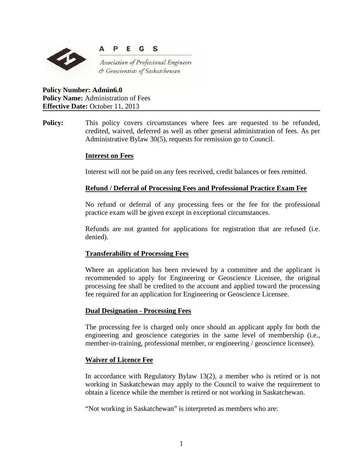

#### E **S** P G

Association of Professional Engineers & Geoscientists of Saskatchewan

**Policy Number: Admin6.0 Policy Name:** Administration of Fees **Effective Date:** October 11, 2013

**Policy:** This policy covers circumstances where fees are requested to be refunded, credited, waived, deferred as well as other general administration of fees. As per Administrative Bylaw 30(5), requests for remission go to Council.

# **Interest on Fees**

Interest will not be paid on any fees received, credit balances or fees remitted.

# **Refund / Deferral of Processing Fees and Professional Practice Exam Fee**

No refund or deferral of any processing fees or the fee for the professional practice exam will be given except in exceptional circumstances.

Refunds are not granted for applications for registration that are refused (i.e. denied).

# **Transferability of Processing Fees**

Where an application has been reviewed by a committee and the applicant is recommended to apply for Engineering or Geoscience Licensee, the original processing fee shall be credited to the account and applied toward the processing fee required for an application for Engineering or Geoscience Licensee.

# **Dual Designation - Processing Fees**

The processing fee is charged only once should an applicant apply for both the engineering and geoscience categories in the same level of membership (i.e., member-in-training, professional member, or engineering / geoscience licensee).

# **Waiver of Licence Fee**

In accordance with Regulatory Bylaw 13(2), a member who is retired or is not working in Saskatchewan may apply to the Council to waive the requirement to obtain a licence while the member is retired or not working in Saskatchewan.

"Not working in Saskatchewan" is interpreted as members who are: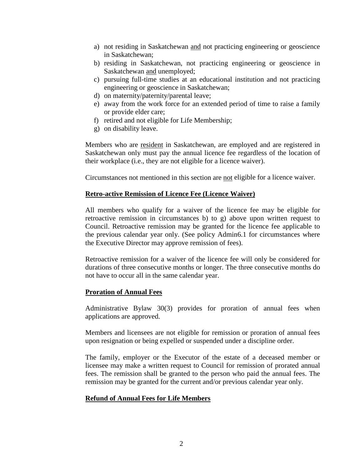- a) not residing in Saskatchewan and not practicing engineering or geoscience in Saskatchewan;
- b) residing in Saskatchewan, not practicing engineering or geoscience in Saskatchewan and unemployed;
- c) pursuing full-time studies at an educational institution and not practicing engineering or geoscience in Saskatchewan;
- d) on maternity/paternity/parental leave;
- e) away from the work force for an extended period of time to raise a family or provide elder care;
- f) retired and not eligible for Life Membership;
- g) on disability leave.

Members who are resident in Saskatchewan, are employed and are registered in Saskatchewan only must pay the annual licence fee regardless of the location of their workplace (i.e., they are not eligible for a licence waiver).

Circumstances not mentioned in this section are not eligible for a licence waiver.

#### **Retro-active Remission of Licence Fee (Licence Waiver)**

All members who qualify for a waiver of the licence fee may be eligible for retroactive remission in circumstances b) to g) above upon written request to Council. Retroactive remission may be granted for the licence fee applicable to the previous calendar year only. (See policy Admin6.1 for circumstances where the Executive Director may approve remission of fees).

Retroactive remission for a waiver of the licence fee will only be considered for durations of three consecutive months or longer. The three consecutive months do not have to occur all in the same calendar year.

#### **Proration of Annual Fees**

Administrative Bylaw 30(3) provides for proration of annual fees when applications are approved.

Members and licensees are not eligible for remission or proration of annual fees upon resignation or being expelled or suspended under a discipline order.

The family, employer or the Executor of the estate of a deceased member or licensee may make a written request to Council for remission of prorated annual fees. The remission shall be granted to the person who paid the annual fees. The remission may be granted for the current and/or previous calendar year only.

# **Refund of Annual Fees for Life Members**